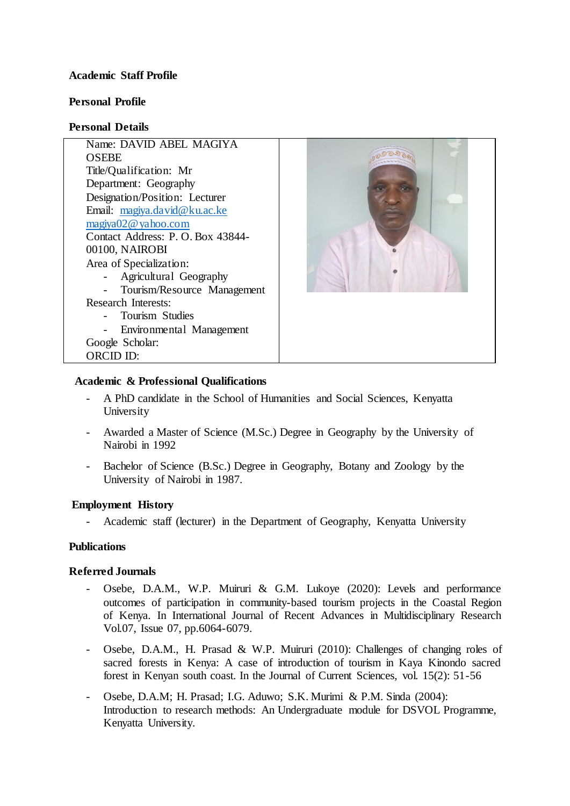## **Academic Staff Profile**

## **Personal Profile**

## **Personal Details**

| Name: DAVID ABEL MAGIYA          |  |
|----------------------------------|--|
| <b>OSEBE</b>                     |  |
| Title/Qualification: Mr          |  |
| Department: Geography            |  |
| Designation/Position: Lecturer   |  |
| Email: magiya.david@ku.ac.ke     |  |
| magiya02@yahoo.com               |  |
| Contact Address: P.O. Box 43844- |  |
| 00100, NAIROBI                   |  |
| Area of Specialization:          |  |
| Agricultural Geography           |  |
| Tourism/Resource Management      |  |
| <b>Research Interests:</b>       |  |
| Tourism Studies                  |  |
| Environmental Management         |  |
| Google Scholar:                  |  |
| ORCID ID:                        |  |
|                                  |  |

## **Academic & Professional Qualifications**

- A PhD candidate in the School of Humanities and Social Sciences, Kenyatta University
- Awarded a Master of Science (M.Sc.) Degree in Geography by the University of Nairobi in 1992
- Bachelor of Science (B.Sc.) Degree in Geography, Botany and Zoology by the University of Nairobi in 1987.

# **Employment History**

- Academic staff (lecturer) in the Department of Geography, Kenyatta University

# **Publications**

# **Referred Journals**

- Osebe, D.A.M., W.P. Muiruri & G.M. Lukoye (2020): Levels and performance outcomes of participation in community-based tourism projects in the Coastal Region of Kenya. In International Journal of Recent Advances in Multidisciplinary Research Vol.07, Issue 07, pp.6064-6079.
- Osebe, D.A.M., H. Prasad & W.P. Muiruri (2010): Challenges of changing roles of sacred forests in Kenya: A case of introduction of tourism in Kaya Kinondo sacred forest in Kenyan south coast. In the Journal of Current Sciences, vol. 15(2): 51-56
- Osebe, D.A.M; H. Prasad; I.G. Aduwo; S.K. Murimi & P.M. Sinda (2004): Introduction to research methods: An Undergraduate module for DSVOL Programme, Kenyatta University.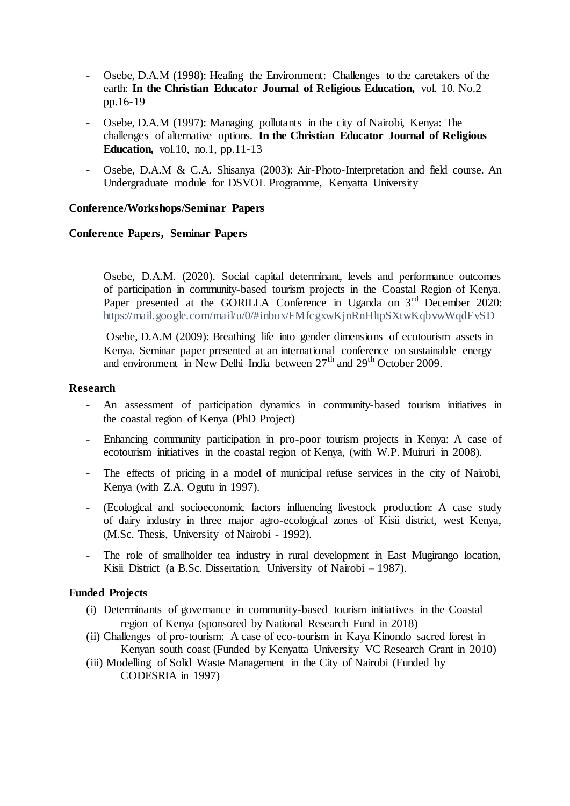- Osebe, D.A.M (1998): Healing the Environment: Challenges to the caretakers of the earth: **In the Christian Educator Journal of Religious Education,** vol. 10. No.2 pp.16-19
- Osebe, D.A.M (1997): Managing pollutants in the city of Nairobi, Kenya: The challenges of alternative options. **In the Christian Educator Journal of Religious Education,** vol.10, no.1, pp.11-13
- Osebe, D.A.M & C.A. Shisanya (2003): Air-Photo-Interpretation and field course. An Undergraduate module for DSVOL Programme, Kenyatta University

# **Conference/Workshops/Seminar Papers**

### **Conference Papers, Seminar Papers**

Osebe, D.A.M. (2020). Social capital determinant, levels and performance outcomes of participation in community-based tourism projects in the Coastal Region of Kenya. Paper presented at the GORILLA Conference in Uganda on 3<sup>rd</sup> December 2020: https://mail.google.com/mail/u/0/#inbox/FMfcgxwKjnRnHltpSXtwKqbvwWqdFvSD

Osebe, D.A.M (2009): Breathing life into gender dimensions of ecotourism assets in Kenya. Seminar paper presented at an international conference on sustainable energy and environment in New Delhi India between  $27<sup>th</sup>$  and  $29<sup>th</sup>$  October 2009.

#### **Research**

- An assessment of participation dynamics in community-based tourism initiatives in the coastal region of Kenya (PhD Project)
- Enhancing community participation in pro-poor tourism projects in Kenya: A case of ecotourism initiatives in the coastal region of Kenya, (with W.P. Muiruri in 2008).
- The effects of pricing in a model of municipal refuse services in the city of Nairobi, Kenya (with Z.A. Ogutu in 1997).
- (Ecological and socioeconomic factors influencing livestock production: A case study of dairy industry in three major agro-ecological zones of Kisii district, west Kenya, (M.Sc. Thesis, University of Nairobi - 1992).
- The role of smallholder tea industry in rural development in East Mugirango location, Kisii District (a B.Sc. Dissertation, University of Nairobi – 1987).

#### **Funded Projects**

- (i) Determinants of governance in community-based tourism initiatives in the Coastal region of Kenya (sponsored by National Research Fund in 2018)
- (ii) Challenges of pro-tourism: A case of eco-tourism in Kaya Kinondo sacred forest in Kenyan south coast (Funded by Kenyatta University VC Research Grant in 2010)
- (iii) Modelling of Solid Waste Management in the City of Nairobi (Funded by CODESRIA in 1997)